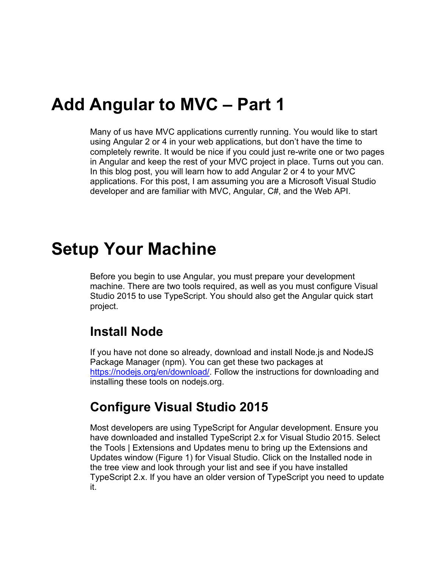### **Add Angular to MVC – Part 1**

Many of us have MVC applications currently running. You would like to start using Angular 2 or 4 in your web applications, but don't have the time to completely rewrite. It would be nice if you could just re-write one or two pages in Angular and keep the rest of your MVC project in place. Turns out you can. In this blog post, you will learn how to add Angular 2 or 4 to your MVC applications. For this post, I am assuming you are a Microsoft Visual Studio developer and are familiar with MVC, Angular, C#, and the Web API.

### **Setup Your Machine**

Before you begin to use Angular, you must prepare your development machine. There are two tools required, as well as you must configure Visual Studio 2015 to use TypeScript. You should also get the Angular quick start project.

#### **Install Node**

If you have not done so already, download and install Node.js and NodeJS Package Manager (npm). You can get these two packages at [https://nodejs.org/en/download/.](https://nodejs.org/en/download/) Follow the instructions for downloading and installing these tools on nodejs.org.

#### **Configure Visual Studio 2015**

Most developers are using TypeScript for Angular development. Ensure you have downloaded and installed TypeScript 2.x for Visual Studio 2015. Select the Tools | Extensions and Updates menu to bring up the Extensions and Updates window [\(Figure 1\)](#page-1-0) for Visual Studio. Click on the Installed node in the tree view and look through your list and see if you have installed TypeScript 2.x. If you have an older version of TypeScript you need to update it.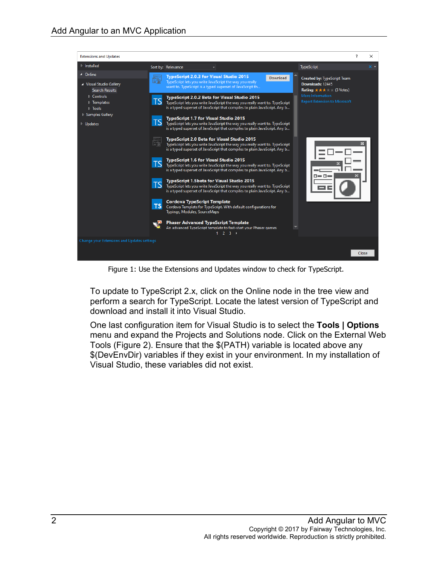

Figure 1: Use the Extensions and Updates window to check for TypeScript.

<span id="page-1-0"></span>To update to TypeScript 2.x, click on the Online node in the tree view and perform a search for TypeScript. Locate the latest version of TypeScript and download and install it into Visual Studio.

One last configuration item for Visual Studio is to select the **Tools | Options** menu and expand the Projects and Solutions node. Click on the External Web Tools [\(Figure 2\)](#page-2-0). Ensure that the \$(PATH) variable is located above any \$(DevEnvDir) variables if they exist in your environment. In my installation of Visual Studio, these variables did not exist.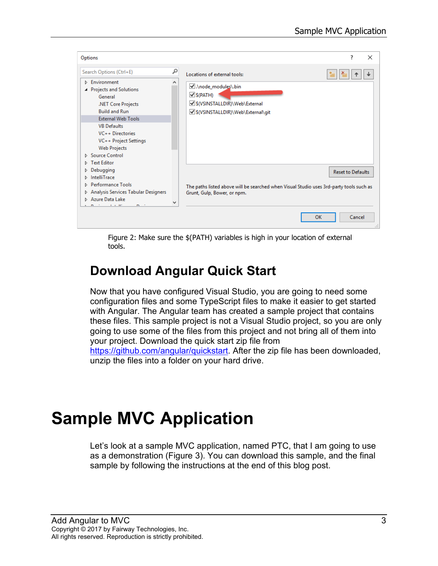| Options                                                                                                                                                                                                                                                       |   |                                                                                                                        | 7                        |        |
|---------------------------------------------------------------------------------------------------------------------------------------------------------------------------------------------------------------------------------------------------------------|---|------------------------------------------------------------------------------------------------------------------------|--------------------------|--------|
| Search Options (Ctrl+E)                                                                                                                                                                                                                                       | م | Locations of external tools:                                                                                           |                          |        |
| Environment<br>Þ.<br><b>Projects and Solutions</b><br>General<br>.NET Core Projects<br><b>Build and Run</b><br><b>External Web Tools</b><br><b>VB Defaults</b><br>VC++ Directories<br>VC++ Project Settings<br><b>Web Projects</b><br><b>D</b> Source Control |   | M.\node_modules\.bin<br>$\vee$ S(PATH)<br>S(VSINSTALLDIR)\Web\External<br>S(VSINSTALLDIR)\Web\External\git             |                          |        |
| Debugging<br>D.<br>IntelliTrace<br>▷.<br>Performance Tools<br>ь.<br>Analysis Services Tabular Designers<br><b>D</b> Azure Data Lake<br><b>CONTRACTOR</b><br>$m \rightarrow$                                                                                   | ٧ | The paths listed above will be searched when Visual Studio uses 3rd-party tools such as<br>Grunt, Gulp, Bower, or npm. | <b>Reset to Defaults</b> |        |
|                                                                                                                                                                                                                                                               |   | <b>OK</b>                                                                                                              |                          | Cancel |

Figure 2: Make sure the \$(PATH) variables is high in your location of external tools.

### <span id="page-2-0"></span>**Download Angular Quick Start**

Now that you have configured Visual Studio, you are going to need some configuration files and some TypeScript files to make it easier to get started with Angular. The Angular team has created a sample project that contains these files. This sample project is not a Visual Studio project, so you are only going to use some of the files from this project and not bring all of them into your project. Download the quick start zip file from [https://github.com/angular/quickstart.](https://github.com/angular/quickstart) After the zip file has been downloaded,

unzip the files into a folder on your hard drive.

# **Sample MVC Application**

Let's look at a sample MVC application, named PTC, that I am going to use as a demonstration [\(Figure 3\)](#page-3-0). You can download this sample, and the final sample by following the instructions at the end of this blog post.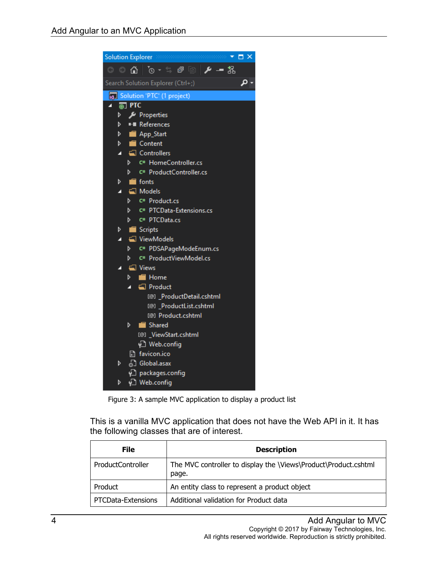|   | Solution Explorer Recommendation<br>$\Box$ $\times$<br>8888888888 |
|---|-------------------------------------------------------------------|
|   |                                                                   |
|   | ρ<br>Search Solution Explorer (Ctrl+;)                            |
|   | <b>M</b> Solution 'PTC' (1 project)                               |
|   | $\overline{m}$ PTC                                                |
| D | Properties                                                        |
| d | <b>■</b> References                                               |
| d | App_Start                                                         |
| d | $\Box$ Content                                                    |
| z | $\Box$ Controllers                                                |
|   | C <sup>#</sup> HomeController.cs<br>d                             |
|   | C# ProductController.cs<br>d                                      |
| Þ | $\blacksquare$ fonts                                              |
| z | Models                                                            |
|   | C# Product.cs<br>d                                                |
|   | d<br>C# PTCData-Extensions.cs                                     |
|   | C# PTCData.cs<br>d                                                |
| D | Scripts                                                           |
| z | <b>△</b> ViewModels                                               |
|   | C# PDSAPageModeEnum.cs<br>d                                       |
|   | C# ProductViewModel.cs<br>D                                       |
| Z | └ Views                                                           |
|   | <b>E</b> Home<br>D                                                |
|   | Product                                                           |
|   | [@] _ProductDetail.cshtml                                         |
|   | [@] ProductList.cshtml                                            |
|   | <sup>[@]</sup> Product.cshtml                                     |
|   | Shared<br>D                                                       |
|   | [@] _ViewStart.cshtml                                             |
|   | ∳े Web.config                                                     |
|   | 圖 favicon.ico                                                     |
| Þ | <sub>හ</sub> ි Global.asax                                        |
|   | √] packages.config                                                |
| d | √ Web.config                                                      |

Figure 3: A sample MVC application to display a product list

<span id="page-3-0"></span>This is a vanilla MVC application that does not have the Web API in it. It has the following classes that are of interest.

| File                     | <b>Description</b>                                                       |
|--------------------------|--------------------------------------------------------------------------|
| <b>ProductController</b> | The MVC controller to display the \Views\Product\Product.cshtml<br>page. |
| Product                  | An entity class to represent a product object                            |
| PTCData-Extensions       | Additional validation for Product data                                   |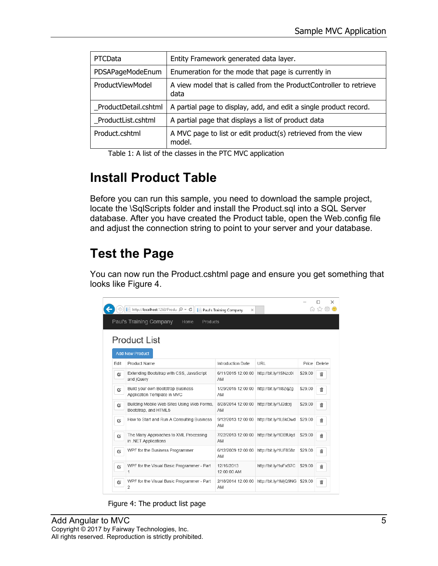| PTCData              | Entity Framework generated data layer.                                     |
|----------------------|----------------------------------------------------------------------------|
| PDSAPageModeEnum     | Enumeration for the mode that page is currently in                         |
| ProductViewModel     | A view model that is called from the ProductController to retrieve<br>data |
| ProductDetail.cshtml | A partial page to display, add, and edit a single product record.          |
| ProductList.cshtml   | A partial page that displays a list of product data                        |
| Product.cshtml       | A MVC page to list or edit product(s) retrieved from the view<br>model.    |

Table 1: A list of the classes in the PTC MVC application

### **Install Product Table**

Before you can run this sample, you need to download the sample project, locate the \SqlScripts folder and install the Product.sql into a SQL Server database. After you have created the Product table, open the Web.config file and adjust the connection string to point to your server and your database.

### **Test the Page**

You can now run the Product.cshtml page and ensure you get something that looks like [Figure 4.](#page-4-0)

|                     |          | Im http://localhost:1268/Produ Q - C<br>頂                          | Paul's Training Company<br>× |                       |         | ×<br>52 |  |  |
|---------------------|----------|--------------------------------------------------------------------|------------------------------|-----------------------|---------|---------|--|--|
|                     |          | Paul's Training Company<br>Home<br><b>Products</b>                 |                              |                       |         |         |  |  |
| <b>Product List</b> |          |                                                                    |                              |                       |         |         |  |  |
|                     |          | <b>Add New Product</b>                                             |                              |                       |         |         |  |  |
|                     | Edit     | Product Name                                                       | Introduction Date            | URL                   | Price   | Delete  |  |  |
|                     | <b>G</b> | Extending Bootstrap with CSS, JavaScript<br>and jQuery             | 6/11/2015 12:00:00<br>AM     | http://bit.ly/1SNzc0i | \$29.00 | 霝       |  |  |
|                     | Q,       | Build your own Bootstrap Business<br>Application Template in MVC   | 1/29/2015 12:00:00<br>AM     | http://bit.ly/1I8ZqZq | \$29.00 | 孟       |  |  |
|                     | Q,       | Building Mobile Web Sites Using Web Forms,<br>Bootstrap, and HTML5 | 8/28/2014 12:00:00<br>AM     | http://bit.ly/1J2dcrj | \$29.00 | 侖       |  |  |
|                     | G,       | How to Start and Run A Consulting Business                         | 9/12/2013 12:00:00<br>AM     | http://bit.lv/1L8kOwd | \$29.00 | 命       |  |  |
|                     | $\alpha$ | The Many Approaches to XML Processing<br>in .NET Applications      | 7/22/2013 12:00:00<br>AM     | http://bit.ly/1DBfUgd | \$29.00 | 侖       |  |  |
|                     | Ū,       | WPF for the Business Programmer                                    | 6/12/2009 12:00:00<br>AM     | http://bit.ly/1UF858z | \$29.00 | 命       |  |  |
|                     | <b>Q</b> | WPF for the Visual Basic Programmer - Part<br>1                    | 12/16/2013<br>12:00:00 AM    | http://bit.ly/1uFxS7C | \$29.00 | 侖       |  |  |
|                     | Q,       | WPF for the Visual Basic Programmer - Part<br>$\overline{2}$       | 2/18/2014 12:00:00<br>AM     | http://bit.ly/1MjQ9NG | \$29.00 | 霝       |  |  |

<span id="page-4-0"></span>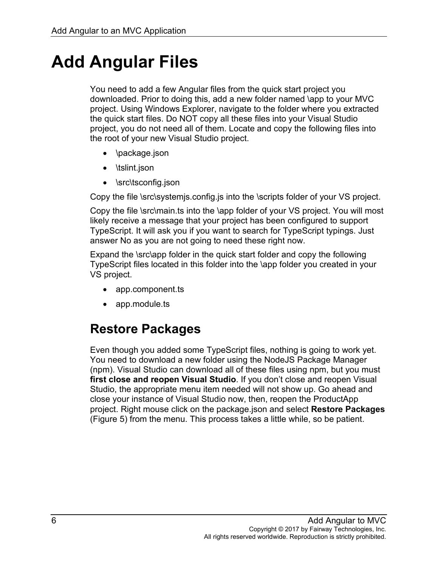# **Add Angular Files**

You need to add a few Angular files from the quick start project you downloaded. Prior to doing this, add a new folder named \app to your MVC project. Using Windows Explorer, navigate to the folder where you extracted the quick start files. Do NOT copy all these files into your Visual Studio project, you do not need all of them. Locate and copy the following files into the root of your new Visual Studio project.

- \package.json
- \tslint.json
- \src\tsconfig.json

Copy the file \src\systemjs.config.js into the \scripts folder of your VS project.

Copy the file \src\main.ts into the \app folder of your VS project. You will most likely receive a message that your project has been configured to support TypeScript. It will ask you if you want to search for TypeScript typings. Just answer No as you are not going to need these right now.

Expand the \src\app folder in the quick start folder and copy the following TypeScript files located in this folder into the \app folder you created in your VS project.

- app.component.ts
- app.module.ts

### **Restore Packages**

Even though you added some TypeScript files, nothing is going to work yet. You need to download a new folder using the NodeJS Package Manager (npm). Visual Studio can download all of these files using npm, but you must **first close and reopen Visual Studio**. If you don't close and reopen Visual Studio, the appropriate menu item needed will not show up. Go ahead and close your instance of Visual Studio now, then, reopen the ProductApp project. Right mouse click on the package.json and select **Restore Packages** [\(Figure 5\)](#page-6-0) from the menu. This process takes a little while, so be patient.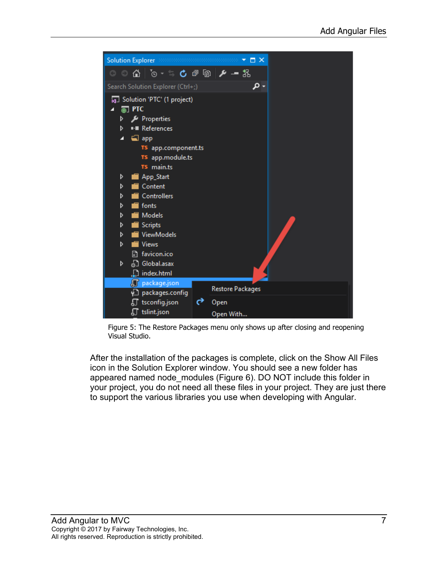

Figure 5: The Restore Packages menu only shows up after closing and reopening Visual Studio.

<span id="page-6-0"></span>After the installation of the packages is complete, click on the Show All Files icon in the Solution Explorer window. You should see a new folder has appeared named node\_modules [\(Figure 6\)](#page-7-0). DO NOT include this folder in your project, you do not need all these files in your project. They are just there to support the various libraries you use when developing with Angular.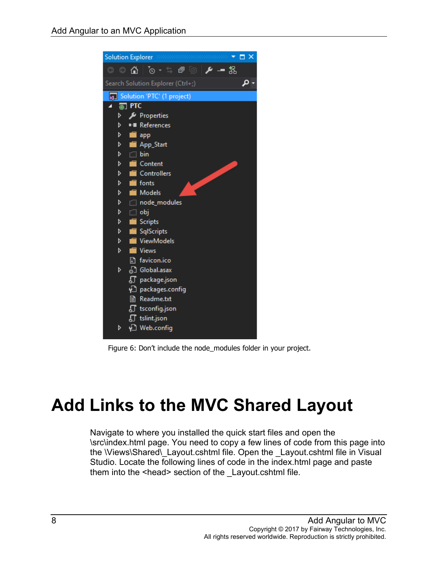|                              |                    | 1000000000<br>$\Box$ $\times$<br><b>Solution Explorer Members</b>                                                                                                         |
|------------------------------|--------------------|---------------------------------------------------------------------------------------------------------------------------------------------------------------------------|
| G<br>$\boldsymbol{\epsilon}$ | 6                  | $\blacksquare$ $\blacksquare$ $\blacksquare$ $\blacksquare$ $\blacksquare$ $\blacksquare$ $\blacksquare$ $\blacksquare$ $\blacksquare$ $\blacksquare$ $\blacksquare$<br>品 |
|                              |                    | Search Solution Explorer (Ctrl+;)                                                                                                                                         |
|                              |                    | <b>a</b> Solution 'PTC' (1 project)                                                                                                                                       |
|                              | <sub>(4)</sub> PTC |                                                                                                                                                                           |
| d                            |                    | Properties                                                                                                                                                                |
| d                            |                    | ■ References                                                                                                                                                              |
| d                            | ш                  | app                                                                                                                                                                       |
| d                            |                    | App_Start                                                                                                                                                                 |
| d                            |                    | i‴ bin                                                                                                                                                                    |
| d                            |                    | Content                                                                                                                                                                   |
| d                            |                    | Controllers                                                                                                                                                               |
| d                            |                    | fonts                                                                                                                                                                     |
| d                            |                    | <b>Models</b>                                                                                                                                                             |
| d                            |                    | node_modules                                                                                                                                                              |
| d                            |                    | i⊡obj                                                                                                                                                                     |
| D                            |                    | <b>Scripts</b>                                                                                                                                                            |
| d                            |                    | SqlScripts                                                                                                                                                                |
| d                            |                    | ViewModels                                                                                                                                                                |
| d                            |                    | <b>Views</b>                                                                                                                                                              |
|                              |                    | havicon.ico                                                                                                                                                               |
| D                            |                    | <sub>හ</sub> ි Global.asax                                                                                                                                                |
|                              |                    | $\int\int$ package.json                                                                                                                                                   |
|                              |                    | √] packages.config                                                                                                                                                        |
|                              |                    | <b>■ Readme.txt</b>                                                                                                                                                       |
|                              |                    | <b>们</b> tsconfig.json                                                                                                                                                    |
|                              |                    | <b>』</b> tslint.json                                                                                                                                                      |
| D                            |                    | မှ Web.config                                                                                                                                                             |
|                              |                    |                                                                                                                                                                           |

Figure 6: Don't include the node\_modules folder in your project.

# <span id="page-7-0"></span>**Add Links to the MVC Shared Layout**

Navigate to where you installed the quick start files and open the \src\index.html page. You need to copy a few lines of code from this page into the \Views\Shared\\_Layout.cshtml file. Open the \_Layout.cshtml file in Visual Studio. Locate the following lines of code in the index.html page and paste them into the <head> section of the Layout.cshtml file.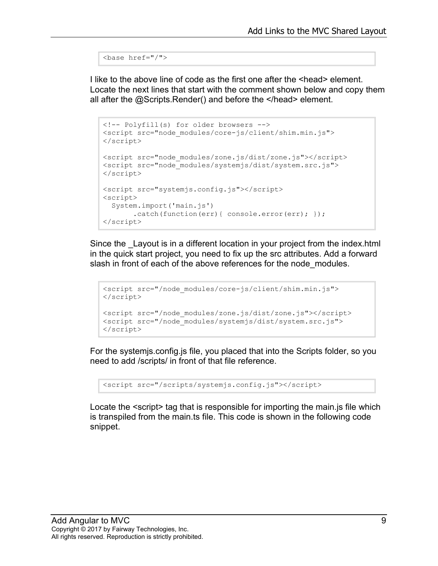```
<base href="/">
```
I like to the above line of code as the first one after the <head> element. Locate the next lines that start with the comment shown below and copy them all after the @Scripts.Render() and before the </head> element.

```
<!-- Polyfill(s) for older browsers -->
<script src="node_modules/core-js/client/shim.min.js">
</script>
<script src="node_modules/zone.js/dist/zone.js"></script>
<script src="node_modules/systemjs/dist/system.src.js">
</script>
<script src="systemjs.config.js"></script>
<script>
  System.import('main.js')
       .catch(function(err){ console.error(err); });
</script>
```
Since the Layout is in a different location in your project from the index.html in the quick start project, you need to fix up the src attributes. Add a forward slash in front of each of the above references for the node modules.

```
<script src="/node_modules/core-js/client/shim.min.js">
</script>
<script src="/node modules/zone.js/dist/zone.js"></script>
<script src="/node_modules/systemjs/dist/system.src.js">
</script>
```
For the systemjs.config.js file, you placed that into the Scripts folder, so you need to add /scripts/ in front of that file reference.

```
<script src="/scripts/systemjs.config.js"></script>
```
Locate the  $\le$ script> tag that is responsible for importing the main.js file which is transpiled from the main.ts file. This code is shown in the following code snippet.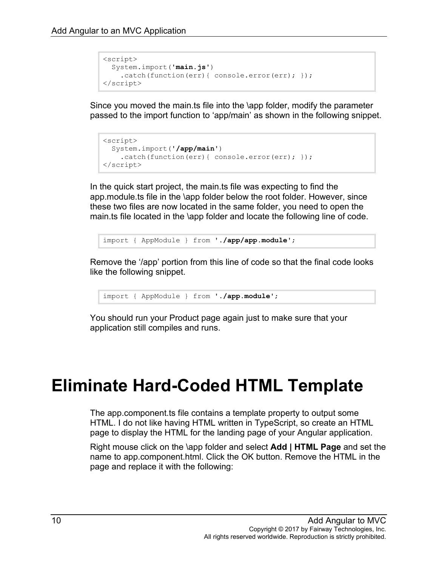```
<script>
  System.import('main.js')
   .catch(function(err){ console.error(err); });
</script>
```
Since you moved the main.ts file into the \app folder, modify the parameter passed to the import function to 'app/main' as shown in the following snippet.

```
<script>
  System.import('/app/main')
   .catch(function(err){ console.error(err); });
</script>
```
In the quick start project, the main.ts file was expecting to find the app.module.ts file in the \app folder below the root folder. However, since these two files are now located in the same folder, you need to open the main.ts file located in the \app folder and locate the following line of code.

import { AppModule } from '**./app/app.module**';

Remove the '/app' portion from this line of code so that the final code looks like the following snippet.

import { AppModule } from '**./app.module**';

You should run your Product page again just to make sure that your application still compiles and runs.

## **Eliminate Hard-Coded HTML Template**

The app.component.ts file contains a template property to output some HTML. I do not like having HTML written in TypeScript, so create an HTML page to display the HTML for the landing page of your Angular application.

Right mouse click on the \app folder and select **Add | HTML Page** and set the name to app.component.html. Click the OK button. Remove the HTML in the page and replace it with the following: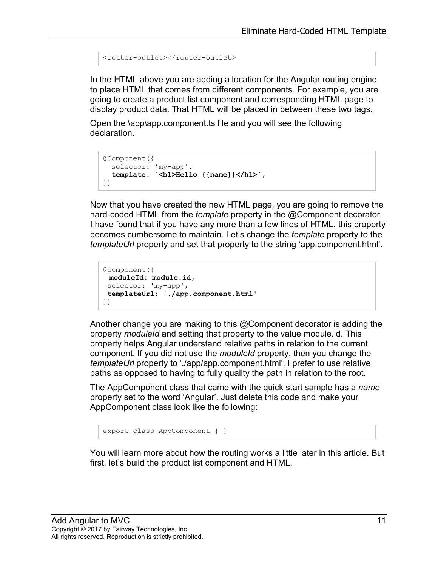```
<router-outlet></router-outlet>
```
In the HTML above you are adding a location for the Angular routing engine to place HTML that comes from different components. For example, you are going to create a product list component and corresponding HTML page to display product data. That HTML will be placed in between these two tags.

Open the \app\app.component.ts file and you will see the following declaration.

```
@Component({
  selector: 'my-app',
  template: `<h1>Hello {{name}}</h1>`,
})
```
Now that you have created the new HTML page, you are going to remove the hard-coded HTML from the *template* property in the @Component decorator. I have found that if you have any more than a few lines of HTML, this property becomes cumbersome to maintain. Let's change the *template* property to the *templateUrl* property and set that property to the string 'app.component.html'.

```
@Component({
moduleId: module.id,
selector: 'my-app',
templateUrl: './app.component.html'
})
```
Another change you are making to this @Component decorator is adding the property *moduleId* and setting that property to the value module.id. This property helps Angular understand relative paths in relation to the current component. If you did not use the *moduleId* property, then you change the *templateUrl* property to './app/app.component.html'. I prefer to use relative paths as opposed to having to fully quality the path in relation to the root.

The AppComponent class that came with the quick start sample has a *name* property set to the word 'Angular'. Just delete this code and make your AppComponent class look like the following:

export class AppComponent { }

You will learn more about how the routing works a little later in this article. But first, let's build the product list component and HTML.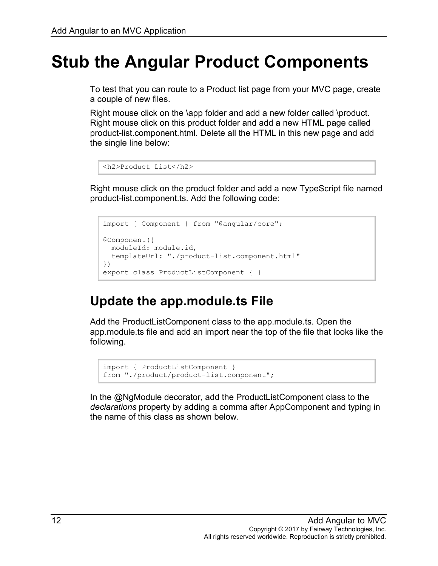## **Stub the Angular Product Components**

To test that you can route to a Product list page from your MVC page, create a couple of new files.

Right mouse click on the \app folder and add a new folder called \product. Right mouse click on this product folder and add a new HTML page called product-list.component.html. Delete all the HTML in this new page and add the single line below:

```
<h2>Product List</h2>
```
Right mouse click on the product folder and add a new TypeScript file named product-list.component.ts. Add the following code:

```
import { Component } from "@angular/core";
@Component({
  moduleId: module.id,
  templateUrl: "./product-list.component.html"
})
export class ProductListComponent { }
```
### **Update the app.module.ts File**

Add the ProductListComponent class to the app.module.ts. Open the app.module.ts file and add an import near the top of the file that looks like the following.

```
import { ProductListComponent }
from "./product/product-list.component";
```
In the @NgModule decorator, add the ProductListComponent class to the *declarations* property by adding a comma after AppComponent and typing in the name of this class as shown below.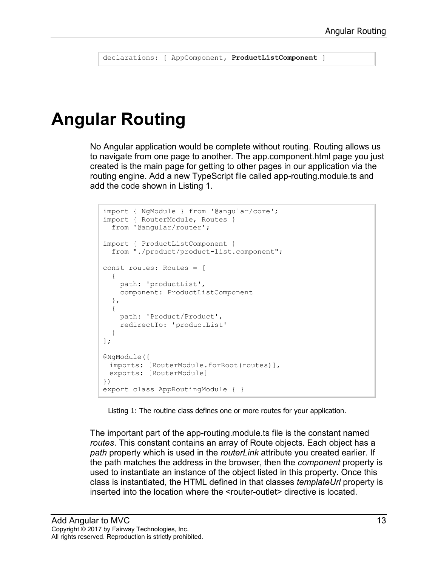declarations: [ AppComponent**, ProductListComponent** ]

## **Angular Routing**

No Angular application would be complete without routing. Routing allows us to navigate from one page to another. The app.component.html page you just created is the main page for getting to other pages in our application via the routing engine. Add a new TypeScript file called app-routing.module.ts and add the code shown in [Listing 1.](#page-12-0)

```
import { NgModule } from '@angular/core';
import { RouterModule, Routes } 
  from '@angular/router';
import { ProductListComponent } 
  from "./product/product-list.component";
const routes: Routes = [
 \{ path: 'productList',
    component: ProductListComponent
  },
   {
    path: 'Product/Product',
    redirectTo: 'productList'
  }
];
@NgModule({
 imports: [RouterModule.forRoot(routes)],
 exports: [RouterModule]
})
export class AppRoutingModule { }
```
Listing 1: The routine class defines one or more routes for your application.

<span id="page-12-0"></span>The important part of the app-routing.module.ts file is the constant named *routes*. This constant contains an array of Route objects. Each object has a *path* property which is used in the *routerLink* attribute you created earlier. If the path matches the address in the browser, then the *component* property is used to instantiate an instance of the object listed in this property. Once this class is instantiated, the HTML defined in that classes *templateUrl* property is inserted into the location where the <router-outlet> directive is located.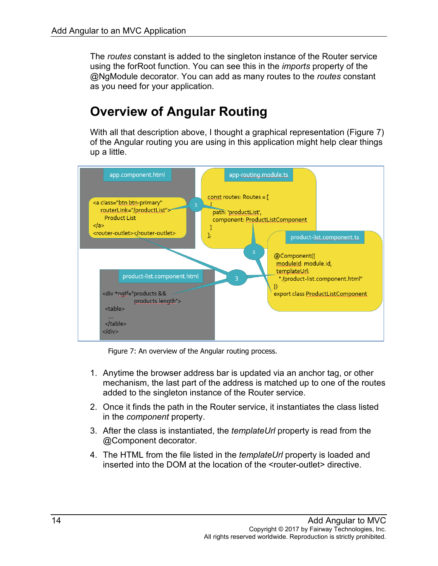The *routes* constant is added to the singleton instance of the Router service using the forRoot function. You can see this in the *imports* property of the @NgModule decorator. You can add as many routes to the *routes* constant as you need for your application.

### **Overview of Angular Routing**

With all that description above, I thought a graphical representation [\(Figure 7\)](#page-13-0) of the Angular routing you are using in this application might help clear things up a little.



Figure 7: An overview of the Angular routing process.

- <span id="page-13-0"></span>1. Anytime the browser address bar is updated via an anchor tag, or other mechanism, the last part of the address is matched up to one of the routes added to the singleton instance of the Router service.
- 2. Once it finds the path in the Router service, it instantiates the class listed in the *component* property.
- 3. After the class is instantiated, the *templateUrl* property is read from the @Component decorator.
- 4. The HTML from the file listed in the *templateUrl* property is loaded and inserted into the DOM at the location of the <router-outlet> directive.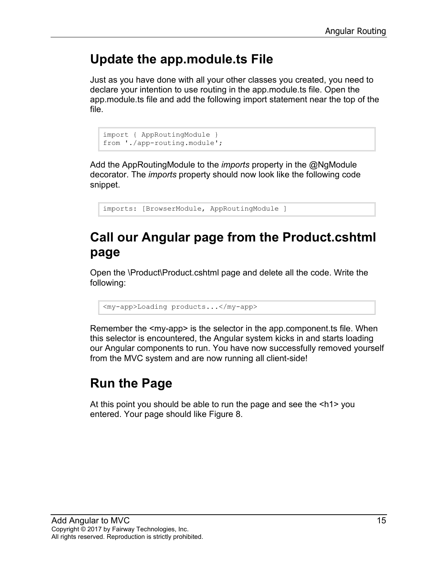### **Update the app.module.ts File**

Just as you have done with all your other classes you created, you need to declare your intention to use routing in the app.module.ts file. Open the app.module.ts file and add the following import statement near the top of the file.

```
import { AppRoutingModule } 
from './app-routing.module';
```
Add the AppRoutingModule to the *imports* property in the @NgModule decorator. The *imports* property should now look like the following code snippet.

imports: [BrowserModule, AppRoutingModule ]

#### **Call our Angular page from the Product.cshtml page**

Open the \Product\Product.cshtml page and delete all the code. Write the following:

<my-app>Loading products...</my-app>

Remember the <my-app> is the selector in the app.component.ts file. When this selector is encountered, the Angular system kicks in and starts loading our Angular components to run. You have now successfully removed yourself from the MVC system and are now running all client-side!

### **Run the Page**

At this point you should be able to run the page and see the <h1> you entered. Your page should like [Figure 8.](#page-15-0)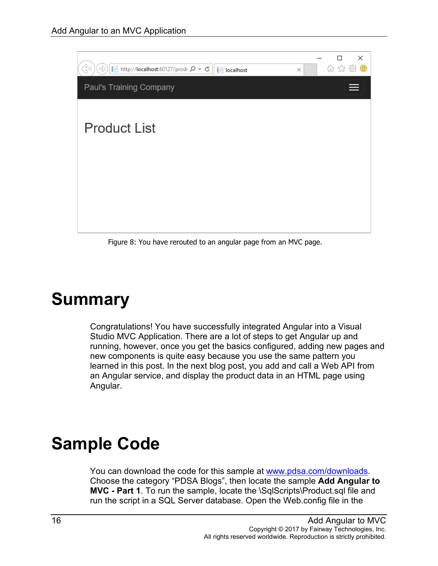

Figure 8: You have rerouted to an angular page from an MVC page.

# <span id="page-15-0"></span>**Summary**

Congratulations! You have successfully integrated Angular into a Visual Studio MVC Application. There are a lot of steps to get Angular up and running, however, once you get the basics configured, adding new pages and new components is quite easy because you use the same pattern you learned in this post. In the next blog post, you add and call a Web API from an Angular service, and display the product data in an HTML page using Angular.

## **Sample Code**

You can download the code for this sample at [www.pdsa.com/downloads.](http://www.pdsa.com/downloads) Choose the category "PDSA Blogs", then locate the sample **Add Angular to MVC - Part 1**. To run the sample, locate the \SqlScripts\Product.sql file and run the script in a SQL Server database. Open the Web.config file in the